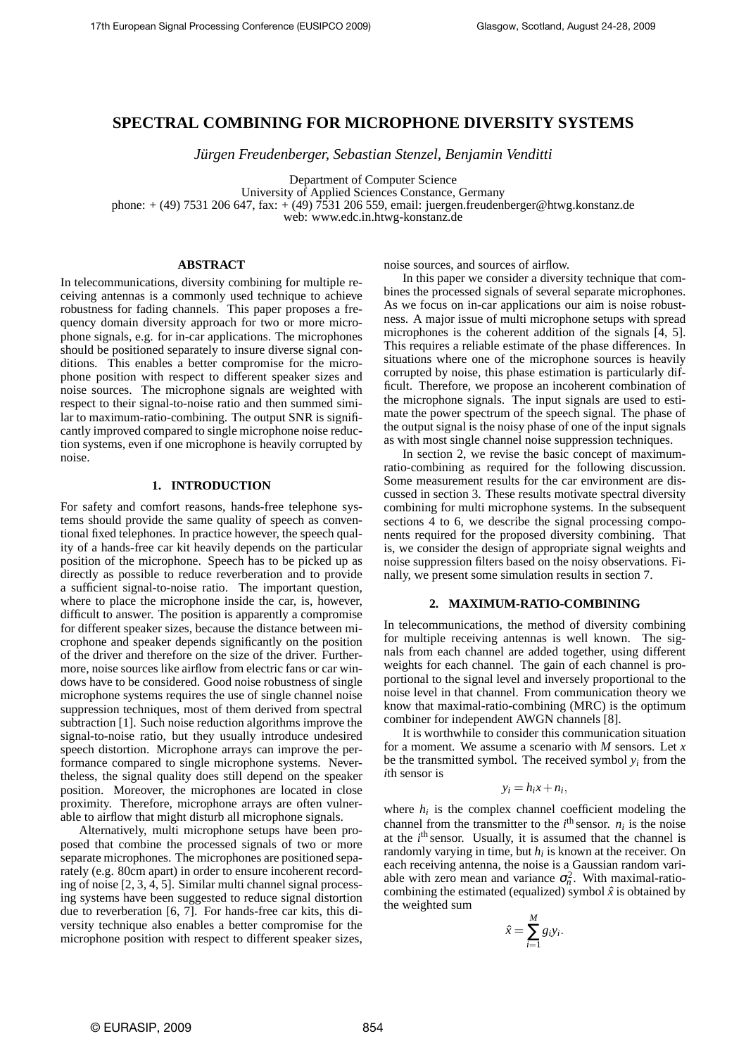# **SPECTRAL COMBINING FOR MICROPHONE DIVERSITY SYSTEMS**

*Jürgen Freudenberger, Sebastian Stenzel, Benjamin Venditti* 

Department of Computer Science

University of Applied Sciences Constance, Germany

phone: + (49) 7531 206 647, fax: + (49) 7531 206 559, email: juergen.freudenberger@htwg.konstanz.de

web: www.edc.in.htwg-konstanz.de

## **ABSTRACT**

In telecommunications, diversity combining for multiple receiving antennas is a commonly used technique to achieve robustness for fading channels. This paper proposes a frequency domain diversity approach for two or more microphone signals, e.g. for in-car applications. The microphones should be positioned separately to insure diverse signal conditions. This enables a better compromise for the microphone position with respect to different speaker sizes and noise sources. The microphone signals are weighted with respect to their signal-to-noise ratio and then summed similar to maximum-ratio-combining. The output SNR is significantly improved compared to single microphone noise reduction systems, even if one microphone is heavily corrupted by noise.

# **1. INTRODUCTION**

For safety and comfort reasons, hands-free telephone systems should provide the same quality of speech as conventional fixed telephones. In practice however, the speech quality of a hands-free car kit heavily depends on the particular position of the microphone. Speech has to be picked up as directly as possible to reduce reverberation and to provide a sufficient signal-to-noise ratio. The important question, where to place the microphone inside the car, is, however, difficult to answer. The position is apparently a compromise for different speaker sizes, because the distance between microphone and speaker depends significantly on the position of the driver and therefore on the size of the driver. Furthermore, noise sources like airflow from electric fans or car windows have to be considered. Good noise robustness of single microphone systems requires the use of single channel noise suppression techniques, most of them derived from spectral subtraction [1]. Such noise reduction algorithms improve the signal-to-noise ratio, but they usually introduce undesired speech distortion. Microphone arrays can improve the performance compared to single microphone systems. Nevertheless, the signal quality does still depend on the speaker position. Moreover, the microphones are located in close proximity. Therefore, microphone arrays are often vulnerable to airflow that might disturb all microphone signals.

Alternatively, multi microphone setups have been proposed that combine the processed signals of two or more separate microphones. The microphones are positioned separately (e.g. 80cm apart) in order to ensure incoherent recording of noise [2, 3, 4, 5]. Similar multi channel signal processing systems have been suggested to reduce signal distortion due to reverberation [6, 7]. For hands-free car kits, this diversity technique also enables a better compromise for the microphone position with respect to different speaker sizes, noise sources, and sources of airflow.

In this paper we consider a diversity technique that combines the processed signals of several separate microphones. As we focus on in-car applications our aim is noise robustness. A major issue of multi microphone setups with spread microphones is the coherent addition of the signals [4, 5]. This requires a reliable estimate of the phase differences. In situations where one of the microphone sources is heavily corrupted by noise, this phase estimation is particularly difficult. Therefore, we propose an incoherent combination of the microphone signals. The input signals are used to estimate the power spectrum of the speech signal. The phase of the output signal is the noisy phase of one of the input signals as with most single channel noise suppression techniques.

In section 2, we revise the basic concept of maximumratio-combining as required for the following discussion. Some measurement results for the car environment are discussed in section 3. These results motivate spectral diversity combining for multi microphone systems. In the subsequent sections 4 to 6, we describe the signal processing components required for the proposed diversity combining. That is, we consider the design of appropriate signal weights and noise suppression filters based on the noisy observations. Finally, we present some simulation results in section 7.

#### **2. MAXIMUM-RATIO-COMBINING**

In telecommunications, the method of diversity combining for multiple receiving antennas is well known. The signals from each channel are added together, using different weights for each channel. The gain of each channel is proportional to the signal level and inversely proportional to the noise level in that channel. From communication theory we know that maximal-ratio-combining (MRC) is the optimum combiner for independent AWGN channels [8].

It is worthwhile to consider this communication situation for a moment. We assume a scenario with *M* sensors. Let *x* be the transmitted symbol. The received symbol  $y_i$  from the *i*th sensor is

# $y_i = h_i x + n_i$

where  $h_i$  is the complex channel coefficient modeling the channel from the transmitter to the  $i^{\text{th}}$  sensor.  $n_i$  is the noise at the *i*<sup>th</sup> sensor. Usually, it is assumed that the channel is randomly varying in time, but *h<sup>i</sup>* is known at the receiver. On each receiving antenna, the noise is a Gaussian random variable with zero mean and variance  $\sigma_n^2$ . With maximal-ratiocombining the estimated (equalized) symbol  $\hat{x}$  is obtained by the weighted sum

$$
\hat{x} = \sum_{i=1}^{M} g_i y_i.
$$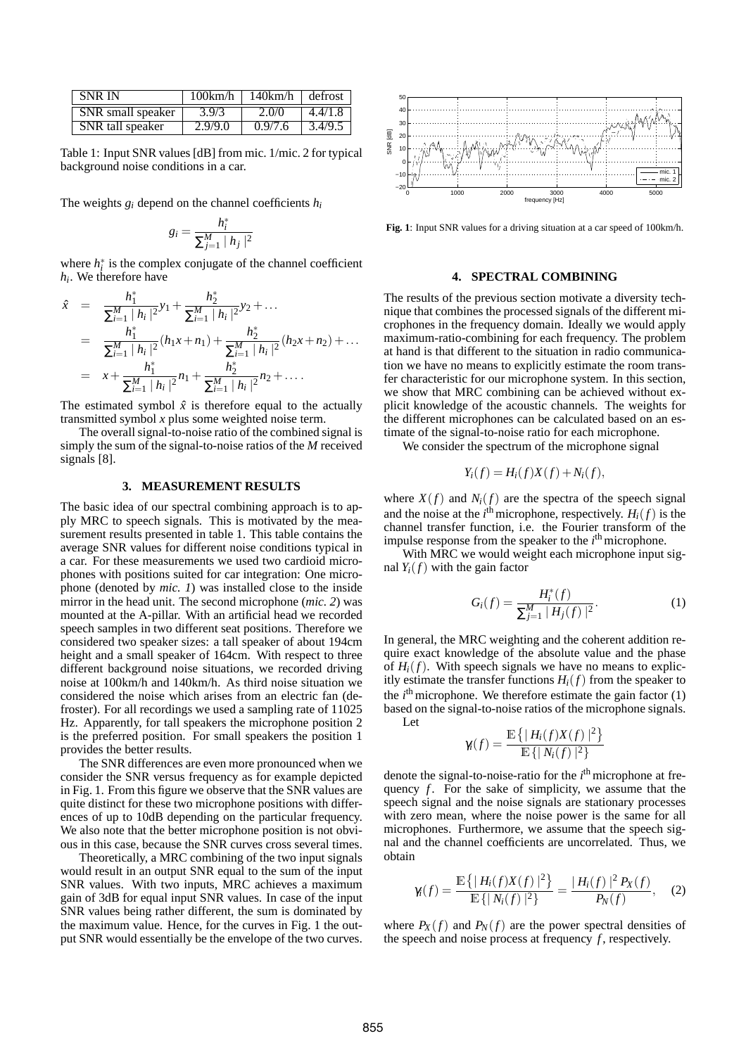| <b>SNR IN</b>     |         | $100 \text{km/h}$   $140 \text{km/h}$   defrost |         |
|-------------------|---------|-------------------------------------------------|---------|
| SNR small speaker | 3.9/3   | 2.0/0                                           | 4.4/1.8 |
| SNR tall speaker  | 2.9/9.0 | 0.9/7.6                                         | 3.4/9.5 |

Table 1: Input SNR values [dB] from mic. 1/mic. 2 for typical background noise conditions in a car.

The weights  $g_i$  depend on the channel coefficients  $h_i$ 

$$
g_i = \frac{h_i^*}{\sum_{j=1}^M |h_j|^2}
$$

where  $h_i^*$  is the complex conjugate of the channel coefficient *hi* . We therefore have

$$
\hat{x} = \frac{h_1^*}{\sum_{i=1}^M |h_i|^2} y_1 + \frac{h_2^*}{\sum_{i=1}^M |h_i|^2} y_2 + \dots
$$
\n
$$
= \frac{h_1^*}{\sum_{i=1}^M |h_i|^2} (h_1 x + n_1) + \frac{h_2^*}{\sum_{i=1}^M |h_i|^2} (h_2 x + n_2) + \dots
$$
\n
$$
= x + \frac{h_1^*}{\sum_{i=1}^M |h_i|^2} n_1 + \frac{h_2^*}{\sum_{i=1}^M |h_i|^2} n_2 + \dots
$$

The estimated symbol  $\hat{x}$  is therefore equal to the actually transmitted symbol *x* plus some weighted noise term.

The overall signal-to-noise ratio of the combined signal is simply the sum of the signal-to-noise ratios of the *M* received signals [8].

## **3. MEASUREMENT RESULTS**

The basic idea of our spectral combining approach is to apply MRC to speech signals. This is motivated by the measurement results presented in table 1. This table contains the average SNR values for different noise conditions typical in a car. For these measurements we used two cardioid microphones with positions suited for car integration: One microphone (denoted by *mic. 1*) was installed close to the inside mirror in the head unit. The second microphone (*mic. 2*) was mounted at the A-pillar. With an artificial head we recorded speech samples in two different seat positions. Therefore we considered two speaker sizes: a tall speaker of about 194cm height and a small speaker of 164cm. With respect to three different background noise situations, we recorded driving noise at 100km/h and 140km/h. As third noise situation we considered the noise which arises from an electric fan (defroster). For all recordings we used a sampling rate of 11025 Hz. Apparently, for tall speakers the microphone position 2 is the preferred position. For small speakers the position 1 provides the better results.

The SNR differences are even more pronounced when we consider the SNR versus frequency as for example depicted in Fig. 1. From this figure we observe that the SNR values are quite distinct for these two microphone positions with differences of up to 10dB depending on the particular frequency. We also note that the better microphone position is not obvious in this case, because the SNR curves cross several times.

Theoretically, a MRC combining of the two input signals would result in an output SNR equal to the sum of the input SNR values. With two inputs, MRC achieves a maximum gain of 3dB for equal input SNR values. In case of the input SNR values being rather different, the sum is dominated by the maximum value. Hence, for the curves in Fig. 1 the output SNR would essentially be the envelope of the two curves.



Fig. 1: Input SNR values for a driving situation at a car speed of 100km/h.

#### **4. SPECTRAL COMBINING**

The results of the previous section motivate a diversity technique that combines the processed signals of the different microphones in the frequency domain. Ideally we would apply maximum-ratio-combining for each frequency. The problem at hand is that different to the situation in radio communication we have no means to explicitly estimate the room transfer characteristic for our microphone system. In this section, we show that MRC combining can be achieved without explicit knowledge of the acoustic channels. The weights for the different microphones can be calculated based on an estimate of the signal-to-noise ratio for each microphone.

We consider the spectrum of the microphone signal

$$
Y_i(f) = H_i(f)X(f) + N_i(f),
$$

where  $X(f)$  and  $N_i(f)$  are the spectra of the speech signal and the noise at the  $i^{\text{th}}$  microphone, respectively.  $H_i(f)$  is the channel transfer function, i.e. the Fourier transform of the impulse response from the speaker to the  $i<sup>th</sup>$  microphone.

With MRC we would weight each microphone input signal  $Y_i(f)$  with the gain factor

$$
G_i(f) = \frac{H_i^*(f)}{\sum_{j=1}^M |H_j(f)|^2}.
$$
 (1)

In general, the MRC weighting and the coherent addition require exact knowledge of the absolute value and the phase of  $H_i(f)$ . With speech signals we have no means to explicitly estimate the transfer functions  $H_i(f)$  from the speaker to the  $i<sup>th</sup>$  microphone. We therefore estimate the gain factor  $(1)$ based on the signal-to-noise ratios of the microphone signals. Let

$$
\gamma_i(f) = \frac{\mathbb{E}\left\{ | H_i(f)X(f) |^2 \right\}}{\mathbb{E}\left\{ | N_i(f) |^2 \right\}}
$$

denote the signal-to-noise-ratio for the *i*<sup>th</sup> microphone at frequency *f*. For the sake of simplicity, we assume that the speech signal and the noise signals are stationary processes with zero mean, where the noise power is the same for all microphones. Furthermore, we assume that the speech signal and the channel coefficients are uncorrelated. Thus, we obtain

$$
\gamma_i(f) = \frac{\mathbb{E}\left\{ | H_i(f)X(f) |^2 \right\}}{\mathbb{E}\left\{ | N_i(f) |^2 \right\}} = \frac{| H_i(f) |^2 P_X(f)}{P_N(f)}, \quad (2)
$$

where  $P_X(f)$  and  $P_N(f)$  are the power spectral densities of the speech and noise process at frequency *f* , respectively.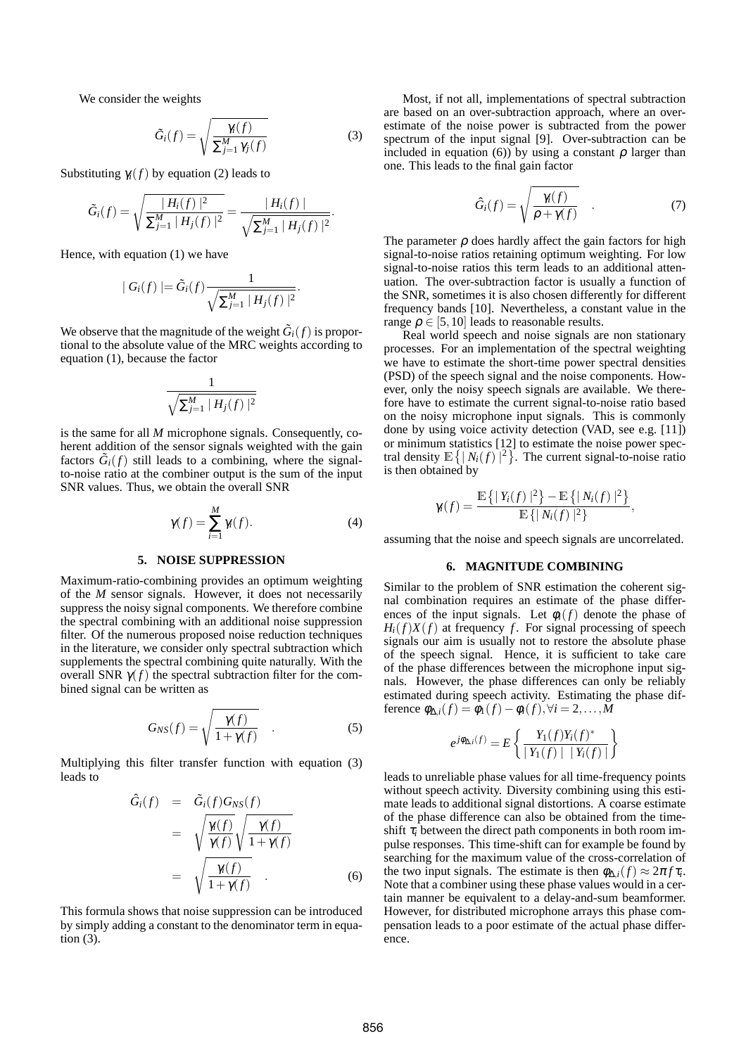We consider the weights

$$
\tilde{G}_i(f) = \sqrt{\frac{\gamma_i(f)}{\sum_{j=1}^M \gamma_j(f)}}
$$
\n(3)

Substituting  $\gamma_i(f)$  by equation (2) leads to

$$
\tilde{G}_i(f) = \sqrt{\frac{|H_i(f)|^2}{\sum_{j=1}^M |H_j(f)|^2}} = \frac{|H_i(f)|}{\sqrt{\sum_{j=1}^M |H_j(f)|^2}}.
$$

Hence, with equation (1) we have

$$
|G_i(f)| = \tilde{G}_i(f) \frac{1}{\sqrt{\sum_{j=1}^M |H_j(f)|^2}}.
$$

We observe that the magnitude of the weight  $\tilde{G}_i(f)$  is proportional to the absolute value of the MRC weights according to equation (1), because the factor

$$
\frac{1}{\sqrt{\sum_{j=1}^M |H_j(f)|^2}}
$$

is the same for all *M* microphone signals. Consequently, coherent addition of the sensor signals weighted with the gain factors  $\tilde{G}_i(f)$  still leads to a combining, where the signalto-noise ratio at the combiner output is the sum of the input SNR values. Thus, we obtain the overall SNR

$$
\gamma(f) = \sum_{i=1}^{M} \gamma_i(f). \tag{4}
$$

## **5. NOISE SUPPRESSION**

Maximum-ratio-combining provides an optimum weighting of the *M* sensor signals. However, it does not necessarily suppress the noisy signal components. We therefore combine the spectral combining with an additional noise suppression filter. Of the numerous proposed noise reduction techniques in the literature, we consider only spectral subtraction which supplements the spectral combining quite naturally. With the overall SNR  $γ(f)$  the spectral subtraction filter for the combined signal can be written as

$$
G_{NS}(f) = \sqrt{\frac{\gamma(f)}{1 + \gamma(f)}} \quad . \tag{5}
$$

Multiplying this filter transfer function with equation (3) leads to

$$
\hat{G}_i(f) = \tilde{G}_i(f)G_{NS}(f)
$$
\n
$$
= \sqrt{\frac{\gamma(f)}{\gamma(f)}} \sqrt{\frac{\gamma(f)}{1 + \gamma(f)}}
$$
\n
$$
= \sqrt{\frac{\gamma(f)}{1 + \gamma(f)}} \quad . \tag{6}
$$

This formula shows that noise suppression can be introduced by simply adding a constant to the denominator term in equation (3).

Most, if not all, implementations of spectral subtraction are based on an over-subtraction approach, where an overestimate of the noise power is subtracted from the power spectrum of the input signal [9]. Over-subtraction can be included in equation (6)) by using a constant  $\rho$  larger than one. This leads to the final gain factor

$$
\hat{G}_i(f) = \sqrt{\frac{\gamma(f)}{\rho + \gamma(f)}} \quad . \tag{7}
$$

The parameter  $\rho$  does hardly affect the gain factors for high signal-to-noise ratios retaining optimum weighting. For low signal-to-noise ratios this term leads to an additional attenuation. The over-subtraction factor is usually a function of the SNR, sometimes it is also chosen differently for different frequency bands [10]. Nevertheless, a constant value in the range  $\rho \in [5, 10]$  leads to reasonable results.

Real world speech and noise signals are non stationary processes. For an implementation of the spectral weighting we have to estimate the short-time power spectral densities (PSD) of the speech signal and the noise components. However, only the noisy speech signals are available. We therefore have to estimate the current signal-to-noise ratio based on the noisy microphone input signals. This is commonly done by using voice activity detection (VAD, see e.g. [11]) or minimum statistics [12] to estimate the noise power spectral density  $\mathbb{E}\left\{ |N_i(f)|^2 \right\}$ . The current signal-to-noise ratio is then obtained by

$$
\gamma_i(f) = \frac{\mathbb{E}\left\{ |Y_i(f)|^2 \right\} - \mathbb{E}\left\{ |N_i(f)|^2 \right\}}{\mathbb{E}\left\{ |N_i(f)|^2 \right\}}
$$

,

assuming that the noise and speech signals are uncorrelated.

#### **6. MAGNITUDE COMBINING**

Similar to the problem of SNR estimation the coherent signal combination requires an estimate of the phase differences of the input signals. Let  $\phi_i(f)$  denote the phase of  $H_i(f)X(f)$  at frequency *f*. For signal processing of speech signals our aim is usually not to restore the absolute phase of the speech signal. Hence, it is sufficient to take care of the phase differences between the microphone input signals. However, the phase differences can only be reliably estimated during speech activity. Estimating the phase difference  $\phi_{\Delta,i}(f) = \phi_1(f) - \phi_i(f), \forall i = 2,...,M$ 

$$
e^{j\phi_{\Delta,i}(f)} = E\left\{\frac{Y_1(f)Y_i(f)^*}{|Y_1(f)| |Y_i(f)|}\right\}
$$

leads to unreliable phase values for all time-frequency points without speech activity. Diversity combining using this estimate leads to additional signal distortions. A coarse estimate of the phase difference can also be obtained from the timeshift  $\tau_i$  between the direct path components in both room impulse responses. This time-shift can for example be found by searching for the maximum value of the cross-correlation of the two input signals. The estimate is then  $\phi_{\Delta,i}(f) \approx 2\pi f \tau_i$ . Note that a combiner using these phase values would in a certain manner be equivalent to a delay-and-sum beamformer. However, for distributed microphone arrays this phase compensation leads to a poor estimate of the actual phase difference.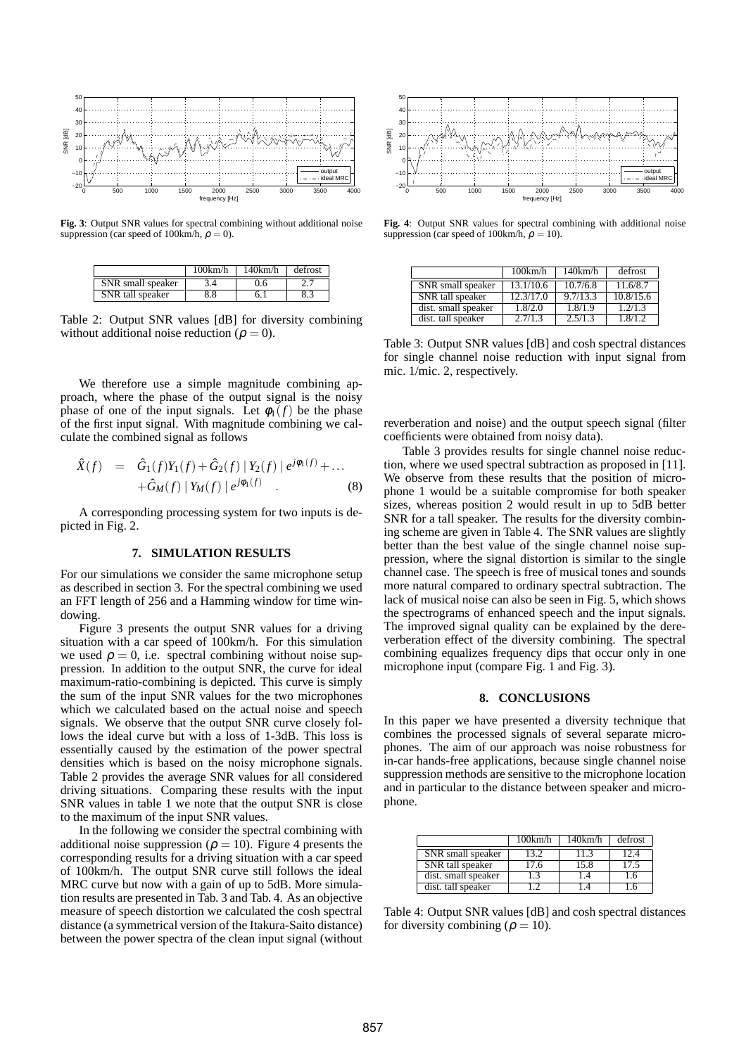

**Fig. 3**: Output SNR values for spectral combining without additional noise suppression (car speed of 100km/h,  $\rho = 0$ ).

|                   | 100km/h | 140km/h | defrost |
|-------------------|---------|---------|---------|
| SNR small speaker |         | J.6     |         |
| SNR tall speaker  | 3.8     |         |         |

Table 2: Output SNR values [dB] for diversity combining without additional noise reduction ( $\rho = 0$ ).

We therefore use a simple magnitude combining approach, where the phase of the output signal is the noisy phase of one of the input signals. Let  $\phi_1(f)$  be the phase of the first input signal. With magnitude combining we calculate the combined signal as follows

$$
\hat{X}(f) = \hat{G}_1(f)Y_1(f) + \hat{G}_2(f) |Y_2(f) | e^{j\phi_1(f)} + ... \n+ \hat{G}_M(f) |Y_M(f) | e^{j\phi_1(f)}.
$$
\n(8)

A corresponding processing system for two inputs is depicted in Fig. 2.

#### **7. SIMULATION RESULTS**

For our simulations we consider the same microphone setup as described in section 3. For the spectral combining we used an FFT length of 256 and a Hamming window for time windowing.

Figure 3 presents the output SNR values for a driving situation with a car speed of 100km/h. For this simulation we used  $\rho = 0$ , i.e. spectral combining without noise suppression. In addition to the output SNR, the curve for ideal maximum-ratio-combining is depicted. This curve is simply the sum of the input SNR values for the two microphones which we calculated based on the actual noise and speech signals. We observe that the output SNR curve closely follows the ideal curve but with a loss of 1-3dB. This loss is essentially caused by the estimation of the power spectral densities which is based on the noisy microphone signals. Table 2 provides the average SNR values for all considered driving situations. Comparing these results with the input SNR values in table 1 we note that the output SNR is close to the maximum of the input SNR values.

In the following we consider the spectral combining with additional noise suppression ( $\rho = 10$ ). Figure 4 presents the corresponding results for a driving situation with a car speed of 100km/h. The output SNR curve still follows the ideal MRC curve but now with a gain of up to 5dB. More simulation results are presented in Tab. 3 and Tab. 4. As an objective measure of speech distortion we calculated the cosh spectral distance (a symmetrical version of the Itakura-Saito distance) between the power spectra of the clean input signal (without



**Fig. 4**: Output SNR values for spectral combining with additional noise suppression (car speed of 100km/h,  $\rho = 10$ ).

|                          | 100km/h   | 140km/h  | defrost              |
|--------------------------|-----------|----------|----------------------|
| <b>SNR</b> small speaker | 13.1/10.6 | 10.7/6.8 | 11.6/8.7             |
| SNR tall speaker         | 12.3/17.0 | 9.7/13.3 | 10.8/15.6            |
| dist. small speaker      | 1.8/2.0   | 1.8/1.9  | $\overline{1.2}/1.3$ |
| dist. tall speaker       | 2.7/1.3   | 2.5/1.3  | 1.8/1.2              |

Table 3: Output SNR values [dB] and cosh spectral distances for single channel noise reduction with input signal from mic. 1/mic. 2, respectively.

reverberation and noise) and the output speech signal (filter coefficients were obtained from noisy data).

Table 3 provides results for single channel noise reduction, where we used spectral subtraction as proposed in [11]. We observe from these results that the position of microphone 1 would be a suitable compromise for both speaker sizes, whereas position 2 would result in up to 5dB better SNR for a tall speaker. The results for the diversity combining scheme are given in Table 4. The SNR values are slightly better than the best value of the single channel noise suppression, where the signal distortion is similar to the single channel case. The speech is free of musical tones and sounds more natural compared to ordinary spectral subtraction. The lack of musical noise can also be seen in Fig. 5, which shows the spectrograms of enhanced speech and the input signals. The improved signal quality can be explained by the dereverberation effect of the diversity combining. The spectral combining equalizes frequency dips that occur only in one microphone input (compare Fig. 1 and Fig. 3).

## **8. CONCLUSIONS**

In this paper we have presented a diversity technique that combines the processed signals of several separate microphones. The aim of our approach was noise robustness for in-car hands-free applications, because single channel noise suppression methods are sensitive to the microphone location and in particular to the distance between speaker and microphone.

|                          | 100km/h | 140km/h | defrost |
|--------------------------|---------|---------|---------|
| <b>SNR</b> small speaker | 13.2.   | 11.3    | 124     |
| SNR tall speaker         | 17.6    | 15.8    | 17.5    |
| dist. small speaker      | 1.3     | 1.4     | 16      |
| dist. tall speaker       |         |         |         |

Table 4: Output SNR values [dB] and cosh spectral distances for diversity combining ( $\rho = 10$ ).